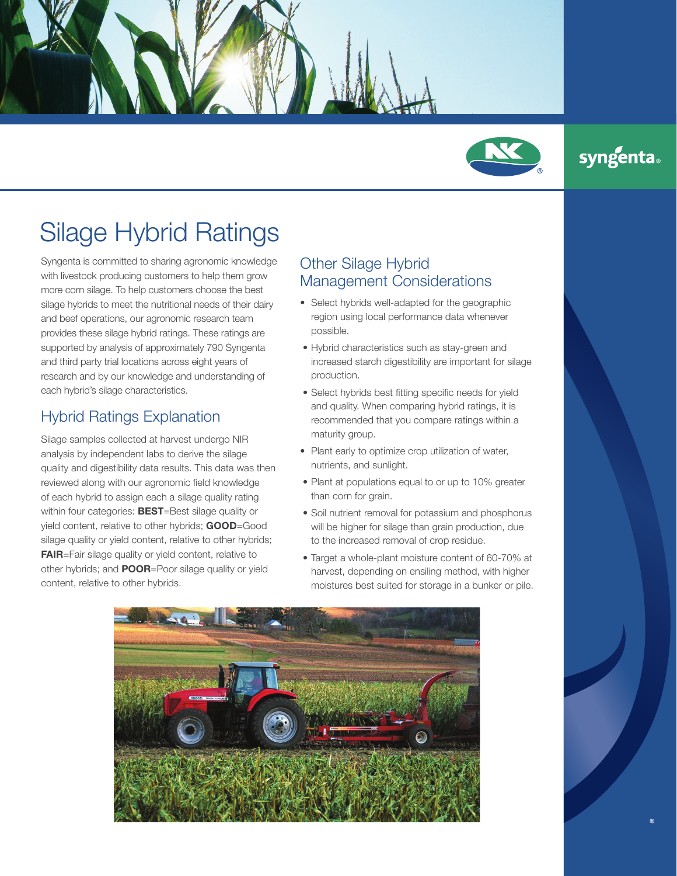

## **syngenta**®

## Silage Hybrid Ratings

Syngenta is committed to sharing agronomic knowledge with livestock producing customers to help them grow more corn silage. To help customers choose the best silage hybrids to meet the nutritional needs of their dairy and beef operations, our agronomic research team provides these silage hybrid ratings. These ratings are supported by analysis of approximately 790 Syngenta and third party trial locations across eight years of research and by our knowledge and understanding of each hybrid's silage characteristics.

## Hybrid Ratings Explanation

Silage samples collected at harvest undergo NIR analysis by independent labs to derive the silage quality and digestibility data results. This data was then reviewed along with our agronomic field knowledge of each hybrid to assign each a silage quality rating within four categories: **BEST**=Best silage quality or yield content, relative to other hybrids; GOOD=Good silage quality or yield content, relative to other hybrids; FAIR=Fair silage quality or yield content, relative to other hybrids; and **POOR**=Poor silage quality or yield content, relative to other hybrids.

## Other Silage Hybrid Management Considerations

- Select hybrids well-adapted for the geographic region using local performance data whenever possible.
- Hybrid characteristics such as stay-green and increased starch digestibility are important for silage production.
- Select hybrids best fitting specific needs for yield and quality. When comparing hybrid ratings, it is recommended that you compare ratings within a maturity group.
- Plant early to optimize crop utilization of water, nutrients, and sunlight.
- Plant at populations equal to or up to 10% greater than corn for grain.
- Soil nutrient removal for potassium and phosphorus will be higher for silage than grain production, due to the increased removal of crop residue.
- Target a whole-plant moisture content of 60-70% at harvest, depending on ensiling method, with higher moistures best suited for storage in a bunker or pile.